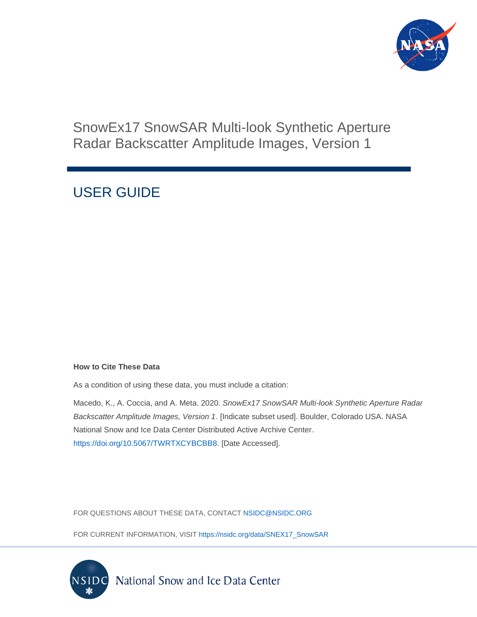

### SnowEx17 SnowSAR Multi-look Synthetic Aperture Radar Backscatter Amplitude Images, Version 1

## USER GUIDE

#### **How to Cite These Data**

As a condition of using these data, you must include a citation:

Macedo, K., A. Coccia, and A. Meta. 2020. *SnowEx17 SnowSAR Multi-look Synthetic Aperture Radar Backscatter Amplitude Images, Version 1*. [Indicate subset used]. Boulder, Colorado USA. NASA National Snow and Ice Data Center Distributed Active Archive Center. [https://doi.org/10.5067/TWRTXCYBCBB8.](https://doi.org/10.5067/TWRTXCYBCBB8) [Date Accessed].

FOR QUESTIONS ABOUT THESE DATA, CONTACT [NSIDC@NSIDC.ORG](mailto:nsidc@nsidc.org)

FOR CURRENT INFORMATION, VISIT [https://nsidc.org/data/SNEX17\\_SnowSAR](https://nsidc.org/data/SNEX17_SnowSAR)

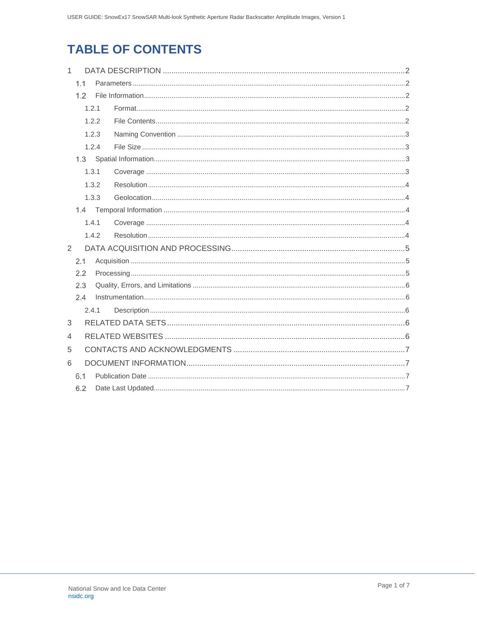## **TABLE OF CONTENTS**

| $\mathbf{1}$   |                |       |  |  |  |  |
|----------------|----------------|-------|--|--|--|--|
|                | 1.1            |       |  |  |  |  |
| 1.2            |                |       |  |  |  |  |
|                |                | 1.2.1 |  |  |  |  |
|                | 1.2.2<br>1.2.3 |       |  |  |  |  |
|                |                |       |  |  |  |  |
|                |                | 1.2.4 |  |  |  |  |
|                |                |       |  |  |  |  |
|                |                | 1.3.1 |  |  |  |  |
| 1.3.2          |                |       |  |  |  |  |
|                |                | 1.3.3 |  |  |  |  |
|                |                |       |  |  |  |  |
|                |                | 1.4.1 |  |  |  |  |
|                |                | 1.4.2 |  |  |  |  |
| 2              |                |       |  |  |  |  |
|                | 2.1            |       |  |  |  |  |
|                | 2.2            |       |  |  |  |  |
|                | 2.3            |       |  |  |  |  |
|                | 2.4            |       |  |  |  |  |
| 2.4.1          |                |       |  |  |  |  |
| 3              |                |       |  |  |  |  |
| $\overline{4}$ |                |       |  |  |  |  |
| 5              |                |       |  |  |  |  |
| 6              |                |       |  |  |  |  |
|                | 6.1            |       |  |  |  |  |
|                | 6.2            |       |  |  |  |  |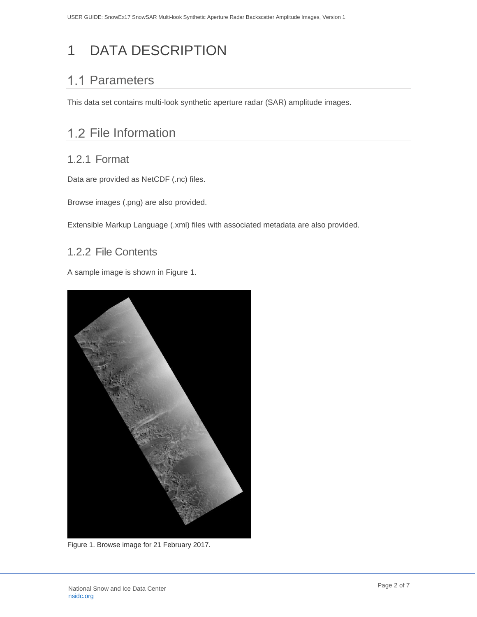# <span id="page-2-0"></span>1 DATA DESCRIPTION

### <span id="page-2-1"></span>1.1 Parameters

This data set contains multi-look synthetic aperture radar (SAR) amplitude images.

### <span id="page-2-2"></span>1.2 File Information

#### <span id="page-2-3"></span>1.2.1 Format

Data are provided as NetCDF (.nc) files.

Browse images (.png) are also provided.

Extensible Markup Language (.xml) files with associated metadata are also provided.

#### <span id="page-2-4"></span>1.2.2 File Contents

A sample image is shown in Figure 1.



Figure 1. Browse image for 21 February 2017.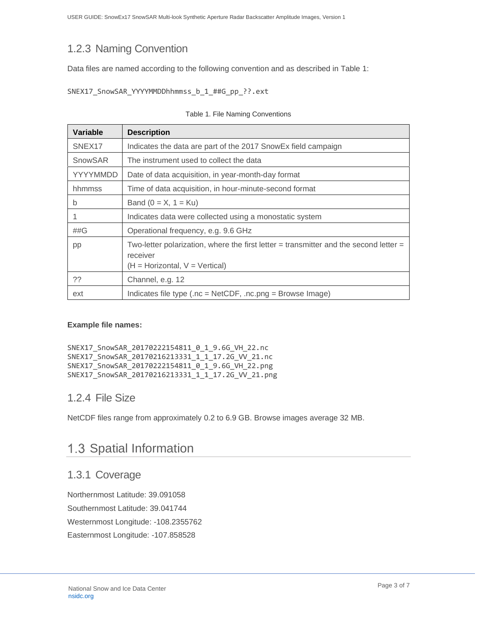### <span id="page-3-0"></span>1.2.3 Naming Convention

Data files are named according to the following convention and as described in Table 1:

```
SNEX17_SnowSAR_YYYYMMDDhhmmss_b_1_##G_pp_??.ext
```

| <b>Variable</b>    | <b>Description</b>                                                                                                                        |
|--------------------|-------------------------------------------------------------------------------------------------------------------------------------------|
| SNEX <sub>17</sub> | Indicates the data are part of the 2017 SnowEx field campaign                                                                             |
| SnowSAR            | The instrument used to collect the data                                                                                                   |
| YYYYMMDD           | Date of data acquisition, in year-month-day format                                                                                        |
| hhmmss             | Time of data acquisition, in hour-minute-second format                                                                                    |
| b                  | Band ( $0 = X$ , $1 = Ku$ )                                                                                                               |
|                    | Indicates data were collected using a monostatic system                                                                                   |
| ##G                | Operational frequency, e.g. 9.6 GHz                                                                                                       |
| pp                 | Two-letter polarization, where the first letter $=$ transmitter and the second letter $=$<br>receiver<br>$(H = Horizontal, V = Vertical)$ |
| ??                 | Channel, e.g. 12                                                                                                                          |
| ext                | Indicates file type (.nc = NetCDF, .nc.png = Browse Image)                                                                                |

#### **Example file names:**

```
SNEX17_SnowSAR_20170222154811_0_1_9.6G_VH_22.nc
SNEX17_SnowSAR_20170216213331_1_1_17.2G_VV_21.nc
SNEX17_SnowSAR_20170222154811_0_1_9.6G_VH_22.png
SNEX17_SnowSAR_20170216213331_1_1_17.2G_VV_21.png
```
#### <span id="page-3-1"></span>1.2.4 File Size

NetCDF files range from approximately 0.2 to 6.9 GB. Browse images average 32 MB.

### <span id="page-3-2"></span>1.3 Spatial Information

#### <span id="page-3-3"></span>1.3.1 Coverage

Northernmost Latitude: 39.091058 Southernmost Latitude: 39.041744 Westernmost Longitude: -108.2355762 Easternmost Longitude: -107.858528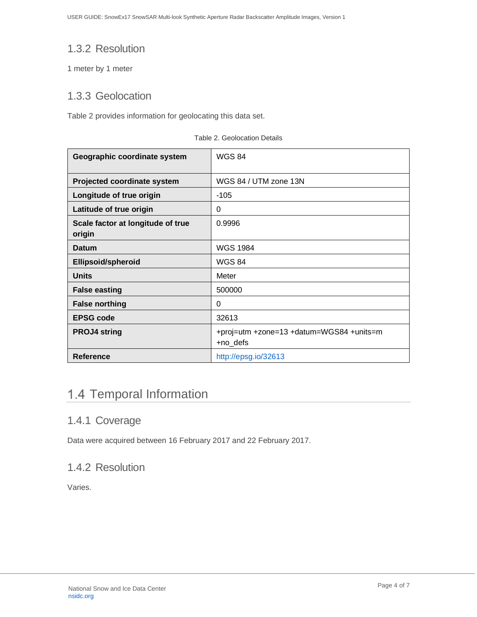### <span id="page-4-0"></span>1.3.2 Resolution

1 meter by 1 meter

#### <span id="page-4-1"></span>1.3.3 Geolocation

Table 2 provides information for geolocating this data set.

| Geographic coordinate system                | <b>WGS 84</b>                                        |
|---------------------------------------------|------------------------------------------------------|
| <b>Projected coordinate system</b>          | WGS 84 / UTM zone 13N                                |
| Longitude of true origin                    | $-105$                                               |
| Latitude of true origin                     | 0                                                    |
| Scale factor at longitude of true<br>origin | 0.9996                                               |
| <b>Datum</b>                                | <b>WGS 1984</b>                                      |
| <b>Ellipsoid/spheroid</b>                   | <b>WGS 84</b>                                        |
| <b>Units</b>                                | Meter                                                |
| <b>False easting</b>                        | 500000                                               |
| <b>False northing</b>                       | 0                                                    |
| <b>EPSG code</b>                            | 32613                                                |
| <b>PROJ4 string</b>                         | +proj=utm +zone=13 +datum=WGS84 +units=m<br>+no_defs |
| <b>Reference</b>                            | http://epsg.io/32613                                 |

Table 2. Geolocation Details

### <span id="page-4-2"></span>1.4 Temporal Information

#### <span id="page-4-3"></span>1.4.1 Coverage

Data were acquired between 16 February 2017 and 22 February 2017.

### <span id="page-4-4"></span>1.4.2 Resolution

Varies.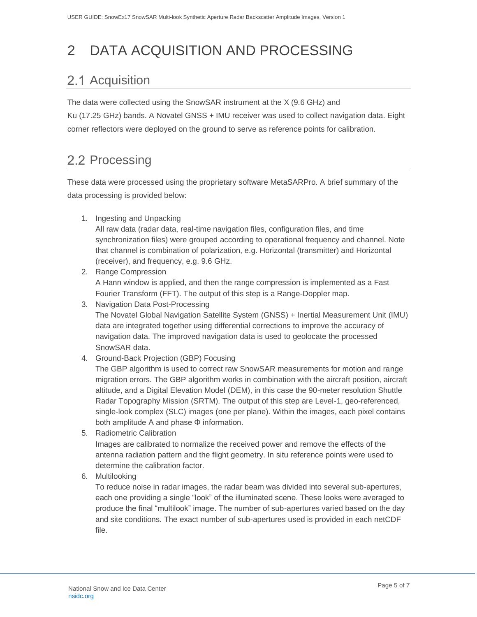# <span id="page-5-0"></span>2 DATA ACQUISITION AND PROCESSING

## <span id="page-5-1"></span>2.1 Acquisition

The data were collected using the SnowSAR instrument at the X (9.6 GHz) and Ku (17.25 GHz) bands. A Novatel GNSS + IMU receiver was used to collect navigation data. Eight corner reflectors were deployed on the ground to serve as reference points for calibration.

### <span id="page-5-2"></span>2.2 Processing

These data were processed using the proprietary software MetaSARPro. A brief summary of the data processing is provided below:

1. Ingesting and Unpacking

All raw data (radar data, real-time navigation files, configuration files, and time synchronization files) were grouped according to operational frequency and channel. Note that channel is combination of polarization, e.g. Horizontal (transmitter) and Horizontal (receiver), and frequency, e.g. 9.6 GHz.

- 2. Range Compression A Hann window is applied, and then the range compression is implemented as a Fast Fourier Transform (FFT). The output of this step is a Range-Doppler map.
- 3. Navigation Data Post-Processing

The Novatel Global Navigation Satellite System (GNSS) + Inertial Measurement Unit (IMU) data are integrated together using differential corrections to improve the accuracy of navigation data. The improved navigation data is used to geolocate the processed SnowSAR data.

4. Ground-Back Projection (GBP) Focusing

The GBP algorithm is used to correct raw SnowSAR measurements for motion and range migration errors. The GBP algorithm works in combination with the aircraft position, aircraft altitude, and a Digital Elevation Model (DEM), in this case the 90-meter resolution Shuttle Radar Topography Mission (SRTM). The output of this step are Level-1, geo-referenced, single-look complex (SLC) images (one per plane). Within the images, each pixel contains both amplitude A and phase Φ information.

- 5. Radiometric Calibration Images are calibrated to normalize the received power and remove the effects of the antenna radiation pattern and the flight geometry. In situ reference points were used to determine the calibration factor.
- 6. Multilooking

To reduce noise in radar images, the radar beam was divided into several sub-apertures, each one providing a single "look" of the illuminated scene. These looks were averaged to produce the final "multilook" image. The number of sub-apertures varied based on the day and site conditions. The exact number of sub-apertures used is provided in each netCDF file.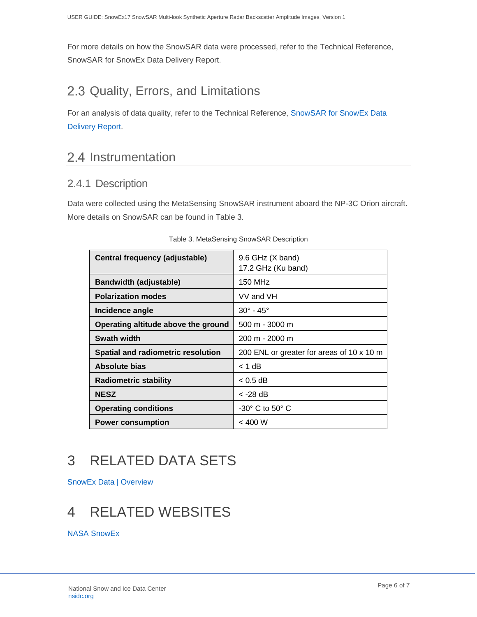For more details on how the SnowSAR data were processed, refer to the Technical Reference, SnowSAR for SnowEx Data Delivery Report.

### <span id="page-6-0"></span>2.3 Quality, Errors, and Limitations

For an analysis of data quality, refer to the Technical Reference, [SnowSAR for SnowEx Data](https://nsidc.org/sites/nsidc.org/files/technical-references/SNEX17_SnowSAR_FinalReport.pdf)  [Delivery Report.](https://nsidc.org/sites/nsidc.org/files/technical-references/SNEX17_SnowSAR_FinalReport.pdf)

### <span id="page-6-1"></span>2.4 Instrumentation

### <span id="page-6-2"></span>2.4.1 Description

Data were collected using the MetaSensing SnowSAR instrument aboard the NP-3C Orion aircraft. More details on SnowSAR can be found in Table 3.

| 9.6 GHz (X band)<br>17.2 GHz (Ku band)    |
|-------------------------------------------|
| 150 MHz                                   |
| VV and VH                                 |
| $30^{\circ}$ - $45^{\circ}$               |
| $500 m - 3000 m$                          |
| $200 m - 2000 m$                          |
| 200 ENL or greater for areas of 10 x 10 m |
| $<$ 1 dB                                  |
| $< 0.5$ dB                                |
| < -28 dB                                  |
| -30° C to 50° C                           |
| $<$ 400 W                                 |
|                                           |

#### Table 3. MetaSensing SnowSAR Description

# <span id="page-6-3"></span>3 RELATED DATA SETS

[SnowEx Data | Overview](https://nsidc.org/data/snowex)

## <span id="page-6-4"></span>4 RELATED WEBSITES

[NASA SnowEx](https://snow.nasa.gov/campaigns/snowex)